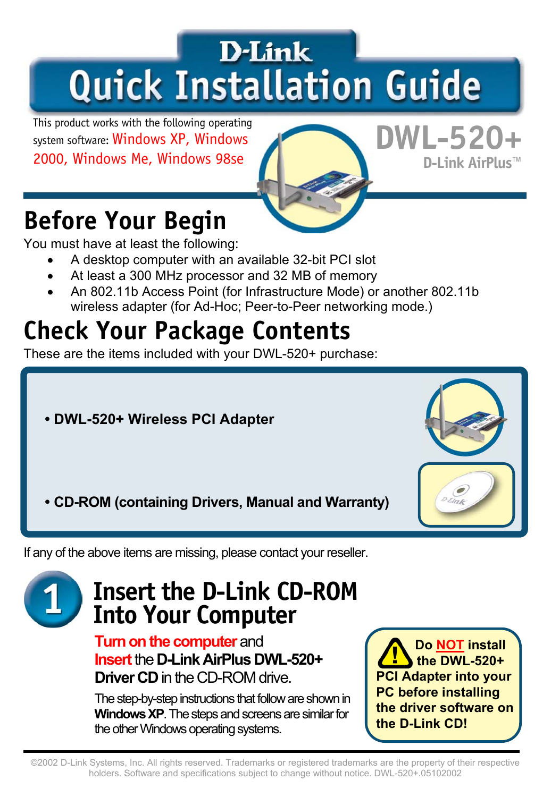# **D-Link Quick Installation Guide**

This product works with the following operating system software: Windows XP, Windows 2000, Windows Me, Windows 98se

### **DWL-520+ D-Link AirPlus™**

### **Before Your Begin**

You must have at least the following:

- A desktop computer with an available 32-bit PCI slot
- At least a 300 MHz processor and 32 MB of memory
- An 802.11b Access Point (for Infrastructure Mode) or another 802.11b wireless adapter (for Ad-Hoc; Peer-to-Peer networking mode.)

### **Check Your Package Contents**

These are the items included with your DWL-520+ purchase:

- **DWL-520+ Wireless PCI Adapter**
- **CD-ROM (containing Drivers, Manual and Warranty)**

If any of the above items are missing, please contact your reseller.

### **Insert the D-Link CD-ROM Into Your Computer**

**Turn on the computer** and **Insert** the **D-Link AirPlus DWL-520+ Driver CD** in the CD-ROM drive.

The step-by-step instructions that follow are shown in **Windows XP**. The steps and screens are similar for the other Windows operating systems.

 **Do NOT install the DWL-520+ PCI Adapter into your PC before installing the driver software on the D-Link CD!**

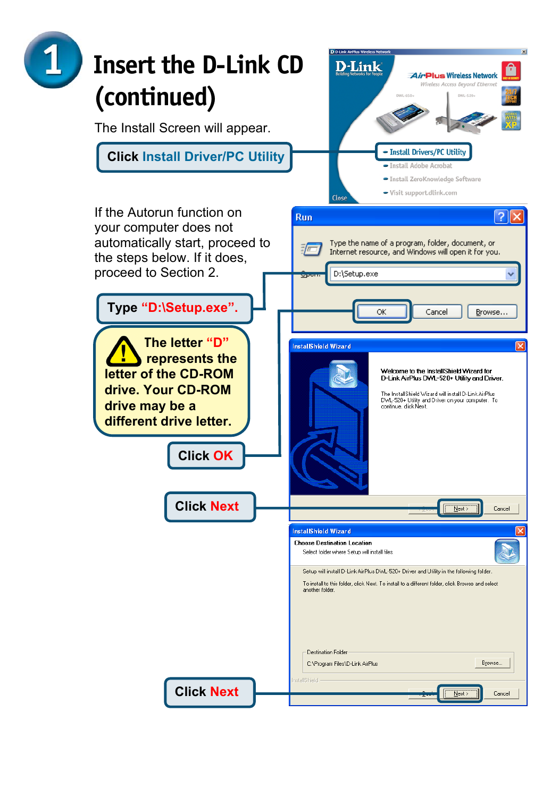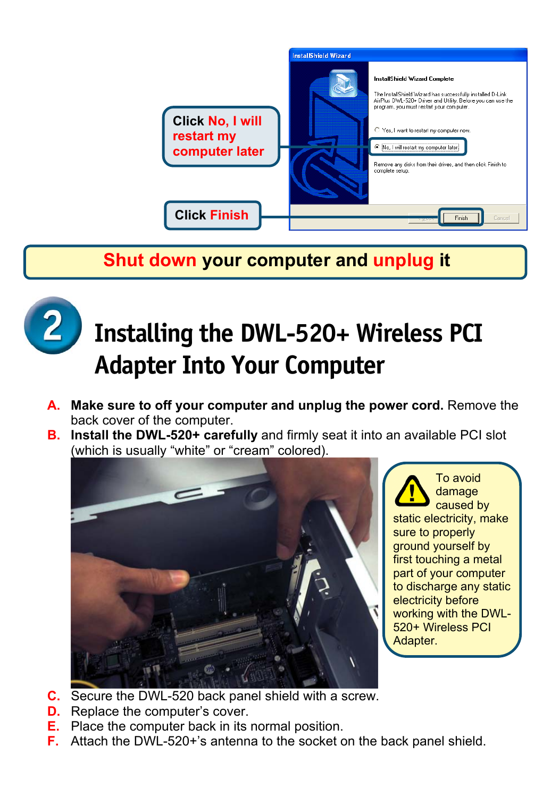

#### **Shut down your computer and unplug it**



## **Installing the DWL-520+ Wireless PCI Adapter Into Your Computer**

- **A. Make sure to off your computer and unplug the power cord.** Remove the back cover of the computer.
- **B. Install the DWL-520+ carefully** and firmly seat it into an available PCI slot (which is usually "white" or "cream" colored).



 To avoid damage caused by static electricity, make sure to properly ground yourself by first touching a metal part of your computer to discharge any static electricity before working with the DWL-520+ Wireless PCI Adapter.

- **C.** Secure the DWL-520 back panel shield with a screw.
- **D.** Replace the computer's cover.
- **E.** Place the computer back in its normal position.
- **F.** Attach the DWL-520+'s antenna to the socket on the back panel shield.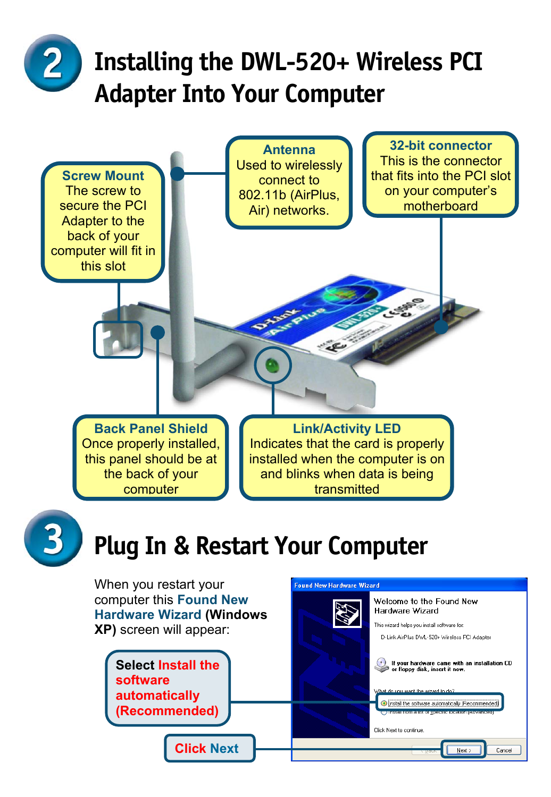# **Installing the DWL-520+ Wireless PCI Adapter Into Your Computer**



Install the software automatically (Recommended) .<br>Сантионите настоя уровново ова по п

Next >

Cancel

Click Next to continue

**automatically (Recommended)**

**Click Next**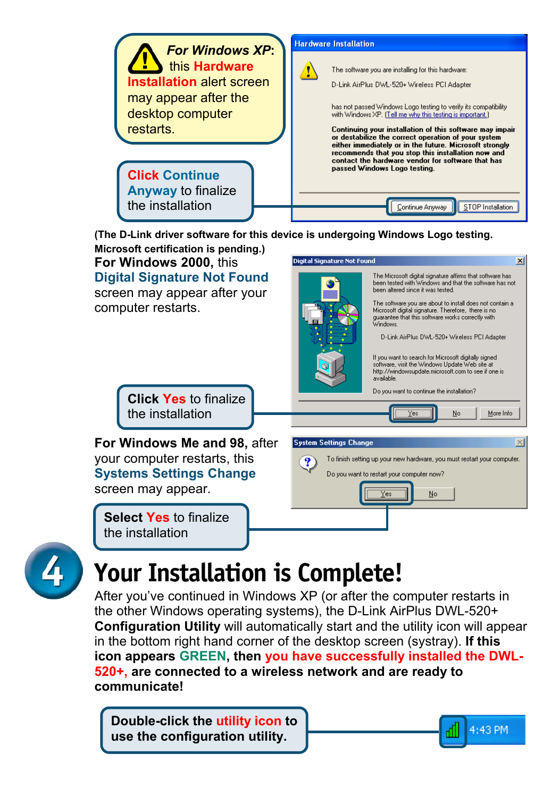

**(The D-Link driver software for this device is undergoing Windows Logo testing. Microsoft certification is pending.)**

**For Windows 2000,** this **Digital Signature Not Found**  screen may appear after your computer restarts.



Yes

No

4:43 PM

**Click Yes** to finalize the installation

**For Windows Me and 98,** after your computer restarts, this **Systems Settings Change** screen may appear.

**Select Yes** to finalize the installation



### **Your Installation is Complete!**

After you've continued in Windows XP (or after the computer restarts in the other Windows operating systems), the D-Link AirPlus DWL-520+ **Configuration Utility** will automatically start and the utility icon will appear in the bottom right hand corner of the desktop screen (systray). **If this icon appears GREEN, then you have successfully installed the DWL-520+, are connected to a wireless network and are ready to communicate!**

**Double-click the utility icon to use the configuration utility.**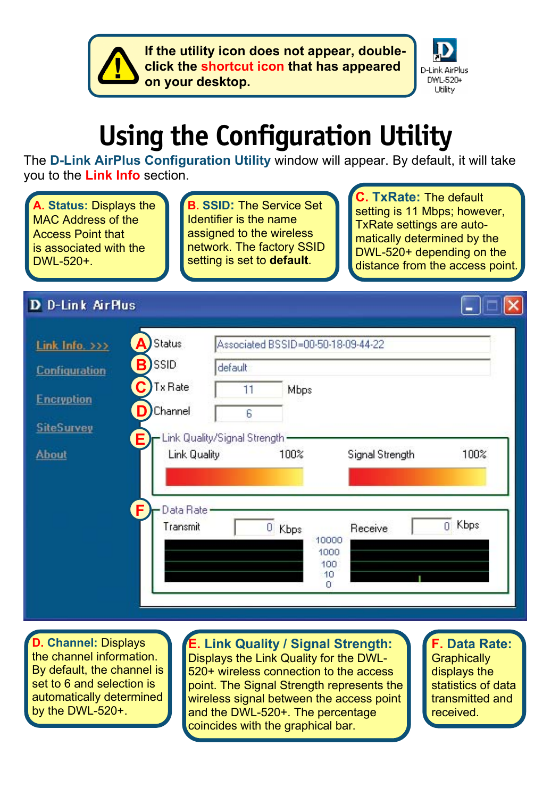**If the utility icon does not appear, double click the shortcut icon that has appeared on your desktop.**



# **Using the Configuration Utility**

The **D-Link AirPlus Configuration Utility** window will appear. By default, it will take you to the **Link Info** section.

**A. Status:** Displays the MAC Address of the Access Point that is associated with the DWL-520+.

**B. SSID:** The Service Set Identifier is the name assigned to the wireless network. The factory SSID setting is set to **default**.

**TxRate: The default** setting is 11 Mbps; however, TxRate settings are automatically determined by the DWL-520+ depending on the distance from the access point.

#### **D** D-Link AirPlus

| <b>Configuration</b> | B)<br><b>SSID</b><br>C<br><b>Tx Rate</b> | default.<br>11 | Mbps      |                      |                 |            |
|----------------------|------------------------------------------|----------------|-----------|----------------------|-----------------|------------|
| <b>Encryption</b>    | D<br>Channel                             | 6              |           |                      |                 |            |
| <b>SiteSurvey</b>    | - Link Quality/Signal Strength -<br>Е    |                |           |                      |                 |            |
| <b>About</b>         | Link Quality                             |                | 100%      |                      | Signal Strength | 100%       |
|                      |                                          |                |           |                      |                 |            |
|                      | F<br>Data Rate .<br>Transmit             |                | 0<br>Kbps | 10000<br>1000<br>100 | Receive         | Kbps<br>Ű. |

**D. Channel:** Displays the channel information. By default, the channel is set to 6 and selection is automatically determined by the DWL-520+.

**Link Quality / Signal Strength:** Displays the Link Quality for the DWL-520+ wireless connection to the access point. The Signal Strength represents the wireless signal between the access point and the DWL-520+. The percentage coincides with the graphical bar.

**F. Data Rate: Graphically** displays the statistics of data transmitted and received.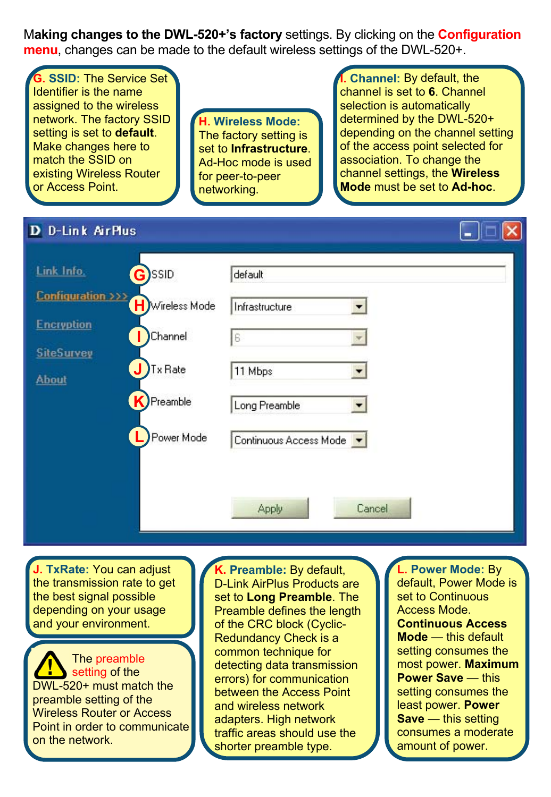M**aking changes to the DWL-520+'s factory** settings. By clicking on the **Configuration menu**, changes can be made to the default wireless settings of the DWL-520+.

**G. SSID:** The Service Set Identifier is the name assigned to the wireless network. The factory SSID setting is set to **default**. Make changes here to match the SSID on existing Wireless Router or Access Point.

**H. Wireless Mode:** The factory setting is set to **Infrastructure**. Ad-Hoc mode is used for peer-to-peer networking.

**I. Channel:** By default, the channel is set to **6**. Channel selection is automatically determined by the DWL-520+ depending on the channel setting of the access point selected for association. To change the channel settings, the **Wireless Mode** must be set to **Ad-hoc**.

L IDI

#### **D** D-Link AirPlus

| Link Info.                        | G)SSID         | default                |
|-----------------------------------|----------------|------------------------|
| Configuration >>> H Wireless Mode |                | Infrastructure<br>▼    |
| <b>Encryption</b>                 | Channel        | 6                      |
| <b>SiteSurvey</b><br><b>About</b> | J<br>Tx Rate   | 11 Mbps<br>▼           |
|                                   | K)<br>Preamble | Long Preamble<br>◥     |
|                                   | Power Mode     | Continuous Access Mode |
|                                   |                |                        |
|                                   |                | Apply<br>Cancel        |

**J. TxRate:** You can adjust the transmission rate to get the best signal possible depending on your usage and your environment.

 The preamble setting of the DWL-520+ must match the preamble setting of the Wireless Router or Access Point in order to communicate on the network.

**K. Preamble:** By default, D-Link AirPlus Products are set to **Long Preamble**. The Preamble defines the length of the CRC block (Cyclic-Redundancy Check is a common technique for detecting data transmission errors) for communication between the Access Point and wireless network adapters. High network traffic areas should use the shorter preamble type.

**Power Mode: By** default, Power Mode is set to Continuous Access Mode. **Continuous Access Mode** — this default setting consumes the most power. **Maximum Power Save** — this setting consumes the least power. **Power Save** — this setting consumes a moderate amount of power.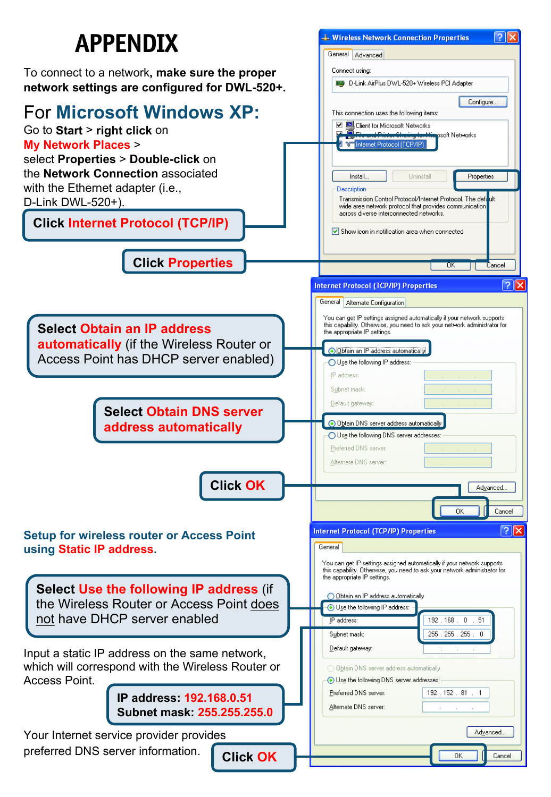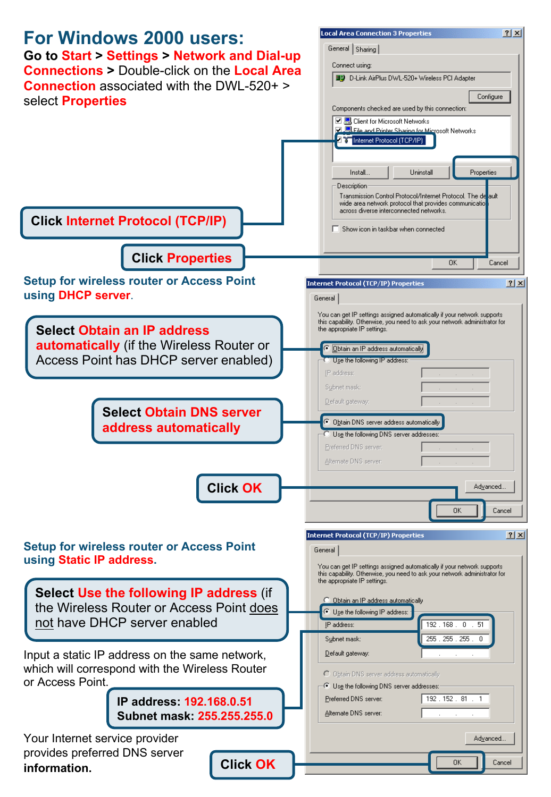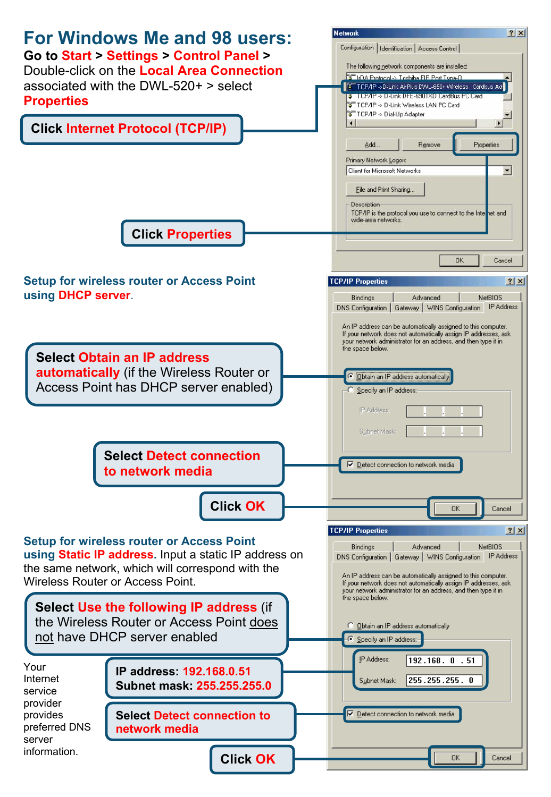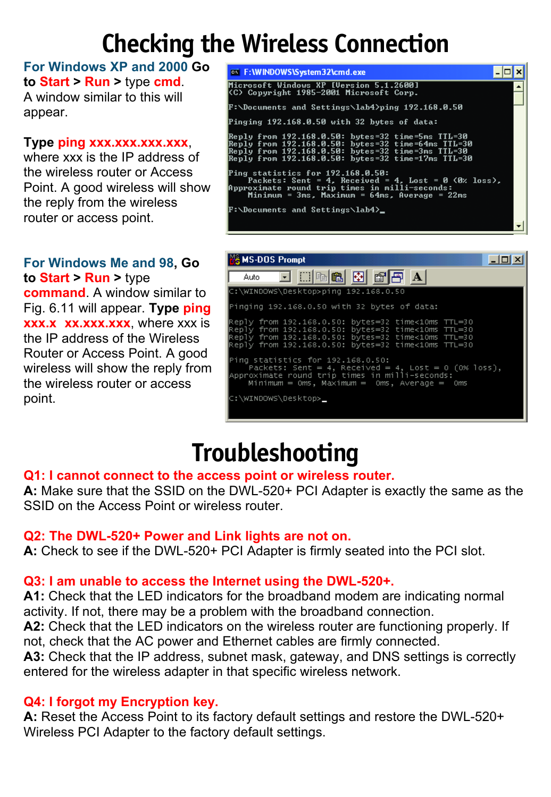### **Checking the Wireless Connection**

**For Windows XP and 2000 Go to Start > Run >** type **cmd**. A window similar to this will appear.

#### **Type ping xxx.xxx.xxx.xxx**,

where xxx is the IP address of the wireless router or Access Point. A good wireless will show the reply from the wireless router or access point.

**For Windows Me and 98, Go to Start > Run >** type **command**. A window similar to Fig. 6.11 will appear. **Type ping xxx.x xx.xxx.xxx**, where xxx is the IP address of the Wireless Router or Access Point. A good wireless will show the reply from the wireless router or access point.

| <b>ex</b> F: WINDOWS \System 32 \cmd.exe                                                                                                                                                                           |  |
|--------------------------------------------------------------------------------------------------------------------------------------------------------------------------------------------------------------------|--|
| Microsoft Windows XP [Version 5.1.2600]<br>KC) Copyright 1985-2001 Microsoft Corp.                                                                                                                                 |  |
| F:\Documents and Settings\lab4>ping 192.168.0.50                                                                                                                                                                   |  |
| Pinging 192.168.0.50 with 32 bytes of data:                                                                                                                                                                        |  |
| Reply from 192.168.0.50: bytes=32 time=5ms TTL=30<br>Reply from 192.168.0.50: bytes=32 time=64ms TTL=30<br>Reply from 192.168.0.50: bytes=32 time=3ms TTL=30<br>Reply from 192.168.0.50: bytes=32 time=17ms TTL=30 |  |
| Ping statistics for 192.168.0.50:<br>Packets: Sent = 4, Received = 4, Lost = 0 (0% loss),<br> Approximate round trip times in milli-seconds:<br>Minimum = 3ms, Maximum = 64ms, Average = 22ms                      |  |
| F:\Documents and Settings\lab4>_                                                                                                                                                                                   |  |



### **Troubleshooting**

#### **Q1: I cannot connect to the access point or wireless router.**

**A:** Make sure that the SSID on the DWL-520+ PCI Adapter is exactly the same as the SSID on the Access Point or wireless router.

#### **Q2: The DWL-520+ Power and Link lights are not on.**

**A:** Check to see if the DWL-520+ PCI Adapter is firmly seated into the PCI slot.

#### **Q3: I am unable to access the Internet using the DWL-520+.**

**A1:** Check that the LED indicators for the broadband modem are indicating normal activity. If not, there may be a problem with the broadband connection.

**A2:** Check that the LED indicators on the wireless router are functioning properly. If not, check that the AC power and Ethernet cables are firmly connected.

**A3:** Check that the IP address, subnet mask, gateway, and DNS settings is correctly entered for the wireless adapter in that specific wireless network.

#### **Q4: I forgot my Encryption key.**

**A:** Reset the Access Point to its factory default settings and restore the DWL-520+ Wireless PCI Adapter to the factory default settings.